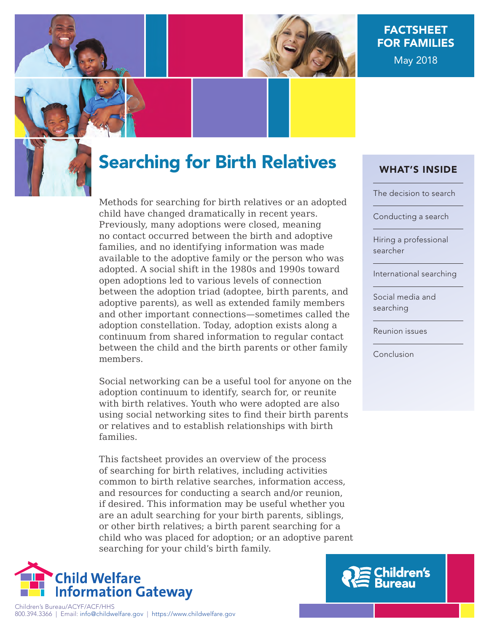

# FACTSHEET FOR FAMILIES May 2018



Methods for searching for birth relatives or an adopted child have changed dramatically in recent years. Previously, many adoptions were closed, meaning no contact occurred between the birth and adoptive families, and no identifying information was made available to the adoptive family or the person who was adopted. A social shift in the 1980s and 1990s toward open adoptions led to various levels of connection between the adoption triad (adoptee, birth parents, and adoptive parents), as well as extended family members and other important connections—sometimes called the adoption constellation. Today, adoption exists along a continuum from shared information to regular contact between the child and the birth parents or other family members.

Social networking can be a useful tool for anyone on the adoption continuum to identify, search for, or reunite with birth relatives. Youth who were adopted are also using social networking sites to find their birth parents or relatives and to establish relationships with birth families.

This factsheet provides an overview of the process of searching for birth relatives, including activities common to birth relative searches, information access, and resources for conducting a search and/or reunion, if desired. This information may be useful whether you are an adult searching for your birth parents, siblings, or other birth relatives; a birth parent searching for a child who was placed for adoption; or an adoptive parent searching for your child's birth family.



### WHAT'S INSIDE

[The decision to search](#page-1-0)

[Conducting a search](#page-2-0)

[Hiring a professional](#page-3-0)  searcher

[International searching](#page-4-0)

[Social media and](#page-4-0)  searching

[Reunion issues](#page-5-0)

[Conclusion](#page-6-0)

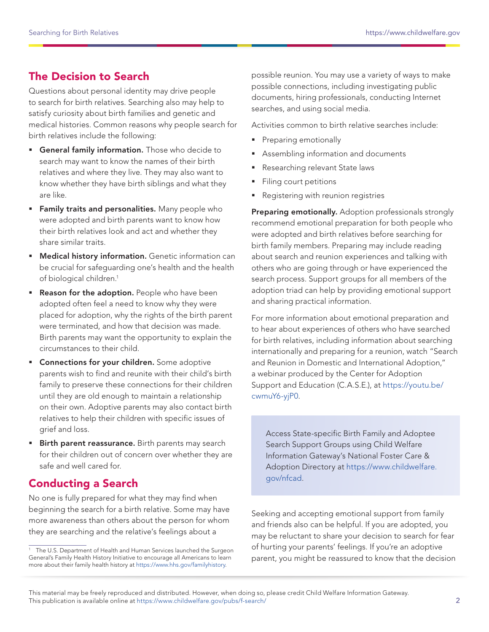## <span id="page-1-0"></span>The Decision to Search

Questions about personal identity may drive people to search for birth relatives. Searching also may help to satisfy curiosity about birth families and genetic and medical histories. Common reasons why people search for birth relatives include the following:

- **General family information.** Those who decide to search may want to know the names of their birth relatives and where they live. They may also want to know whether they have birth siblings and what they are like.
- **Family traits and personalities.** Many people who were adopted and birth parents want to know how their birth relatives look and act and whether they share similar traits.
- **Medical history information.** Genetic information can be crucial for safeguarding one's health and the health of biological children.<sup>1</sup>
- **Reason for the adoption.** People who have been adopted often feel a need to know why they were placed for adoption, why the rights of the birth parent were terminated, and how that decision was made. Birth parents may want the opportunity to explain the circumstances to their child.
- **Connections for your children.** Some adoptive parents wish to find and reunite with their child's birth family to preserve these connections for their children until they are old enough to maintain a relationship on their own. Adoptive parents may also contact birth relatives to help their children with specific issues of grief and loss.
- **Birth parent reassurance.** Birth parents may search for their children out of concern over whether they are safe and well cared for.

### Conducting a Search

No one is fully prepared for what they may find when beginning the search for a birth relative. Some may have more awareness than others about the person for whom they are searching and the relative's feelings about a

possible reunion. You may use a variety of ways to make possible connections, including investigating public documents, hiring professionals, conducting Internet searches, and using social media.

Activities common to birth relative searches include:

- Preparing emotionally
- Assembling information and documents
- Researching relevant State laws
- Filing court petitions
- Registering with reunion registries

Preparing emotionally. Adoption professionals strongly recommend emotional preparation for both people who were adopted and birth relatives before searching for birth family members. Preparing may include reading about search and reunion experiences and talking with others who are going through or have experienced the search process. Support groups for all members of the adoption triad can help by providing emotional support and sharing practical information.

For more information about emotional preparation and to hear about experiences of others who have searched for birth relatives, including information about searching internationally and preparing for a reunion, watch "Search and Reunion in Domestic and International Adoption," a webinar produced by the Center for Adoption Support and Education (C.A.S.E.), at [https://youtu.be/](https://youtu.be/cwmuY6-yjP0) [cwmuY6-yjP0.](https://youtu.be/cwmuY6-yjP0)

Access State-specific Birth Family and Adoptee Search Support Groups using Child Welfare Information Gateway's National Foster Care & Adoption Directory at [https://www.childwelfare.](https://www.childwelfare.gov/nfcad/) [gov/nfcad.](https://www.childwelfare.gov/nfcad/)

Seeking and accepting emotional support from family and friends also can be helpful. If you are adopted, you may be reluctant to share your decision to search for fear of hurting your parents' feelings. If you're an adoptive parent, you might be reassured to know that the decision

<sup>&</sup>lt;sup>1</sup> The U.S. Department of Health and Human Services launched the Surgeon General's Family Health History Initiative to encourage all Americans to learn more about their family health history at <https://www.hhs.gov/familyhistory>.

This material may be freely reproduced and distributed. However, when doing so, please credit Child Welfare Information Gateway. This publication is available online at https://www.childwelfare.gov/pubs/f-search/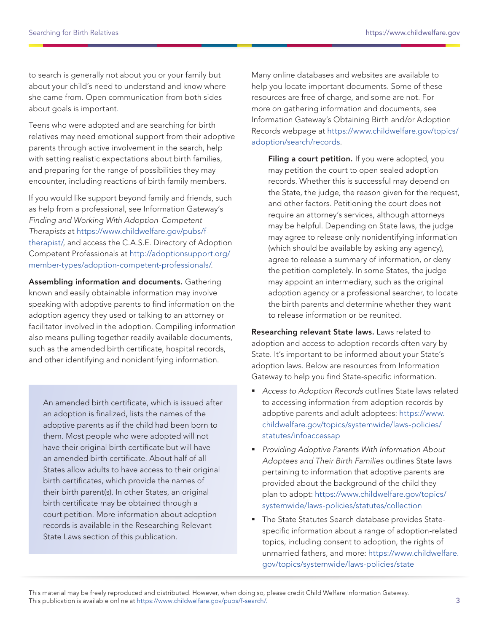<span id="page-2-0"></span>to search is generally not about you or your family but about your child's need to understand and know where she came from. Open communication from both sides about goals is important.

Teens who were adopted and are searching for birth relatives may need emotional support from their adoptive parents through active involvement in the search, help with setting realistic expectations about birth families, and preparing for the range of possibilities they may encounter, including reactions of birth family members.

If you would like support beyond family and friends, such as help from a professional, see Information Gateway's Finding and Working With Adoption-Competent Therapists at [https://www.childwelfare.gov/pubs/f](https://www.childwelfare.gov/pubs/f-therapist/)[therapist/](https://www.childwelfare.gov/pubs/f-therapist/), and access the C.A.S.E. Directory of Adoption Competent Professionals at [http://adoptionsupport.org/](http://adoptionsupport.org/member-types/adoption-competent-professionals/) [member-types/adoption-competent-professionals/](http://adoptionsupport.org/member-types/adoption-competent-professionals/).

Assembling information and documents. Gathering known and easily obtainable information may involve speaking with adoptive parents to find information on the adoption agency they used or talking to an attorney or facilitator involved in the adoption. Compiling information also means pulling together readily available documents, such as the amended birth certificate, hospital records, and other identifying and nonidentifying information.

An amended birth certificate, which is issued after an adoption is finalized, lists the names of the adoptive parents as if the child had been born to them. Most people who were adopted will not have their original birth certificate but will have an amended birth certificate. About half of all States allow adults to have access to their original birth certificates, which provide the names of their birth parent(s). In other States, an original birth certificate may be obtained through a court petition. More information about adoption records is available in the Researching Relevant State Laws section of this publication.

Many online databases and websites are available to help you locate important documents. Some of these resources are free of charge, and some are not. For more on gathering information and documents, see Information Gateway's Obtaining Birth and/or Adoption Records webpage at [https://www.childwelfare.gov/topics/](https://www.childwelfare.gov/topics/adoption/search/records/) [adoption/search/records.](https://www.childwelfare.gov/topics/adoption/search/records/)

Filing a court petition. If you were adopted, you may petition the court to open sealed adoption records. Whether this is successful may depend on the State, the judge, the reason given for the request, and other factors. Petitioning the court does not require an attorney's services, although attorneys may be helpful. Depending on State laws, the judge may agree to release only nonidentifying information (which should be available by asking any agency), agree to release a summary of information, or deny the petition completely. In some States, the judge may appoint an intermediary, such as the original adoption agency or a professional searcher, to locate the birth parents and determine whether they want to release information or be reunited.

Researching relevant State laws. Laws related to adoption and access to adoption records often vary by State. It's important to be informed about your State's adoption laws. Below are resources from Information Gateway to help you find State-specific information.

- Access to Adoption Records outlines State laws related to accessing information from adoption records by adoptive parents and adult adoptees: [https://www.](https://www.childwelfare.gov/topics/systemwide/laws-policies/statutes/infoaccessap) [childwelfare.gov/topics/systemwide/laws-policies/](https://www.childwelfare.gov/topics/systemwide/laws-policies/statutes/infoaccessap) [statutes/infoaccessap](https://www.childwelfare.gov/topics/systemwide/laws-policies/statutes/infoaccessap)
- **Providing Adoptive Parents With Information About** Adoptees and Their Birth Families outlines State laws pertaining to information that adoptive parents are provided about the background of the child they plan to adopt: [https://www.childwelfare.gov/topics/](https://www.childwelfare.gov/topics/systemwide/laws-policies/statutes/collection/) [systemwide/laws-policies/statutes/collection](https://www.childwelfare.gov/topics/systemwide/laws-policies/statutes/collection/)
- The State Statutes Search database provides Statespecific information about a range of adoption-related topics, including consent to adoption, the rights of unmarried fathers, and more: [https://www.childwelfare.](https://www.childwelfare.gov/topics/systemwide/laws-policies/state/) [gov/topics/systemwide/laws-policies/state](https://www.childwelfare.gov/topics/systemwide/laws-policies/state/)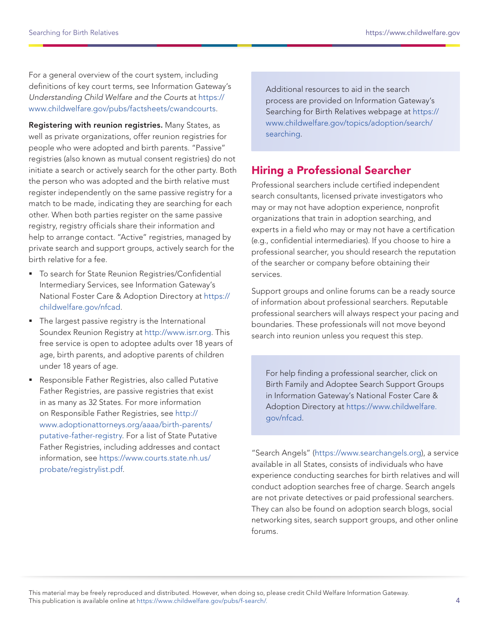<span id="page-3-0"></span>For a general overview of the court system, including definitions of key court terms, see Information Gateway's Understanding Child Welfare and the Courts at [https://](https://www.childwelfare.gov/pubs/factsheets/cwandcourts/) [www.childwelfare.gov/pubs/factsheets/cwandcourts](https://www.childwelfare.gov/pubs/factsheets/cwandcourts/).

Registering with reunion registries. Many States, as well as private organizations, offer reunion registries for people who were adopted and birth parents. "Passive" registries (also known as mutual consent registries) do not initiate a search or actively search for the other party. Both the person who was adopted and the birth relative must register independently on the same passive registry for a match to be made, indicating they are searching for each other. When both parties register on the same passive registry, registry officials share their information and help to arrange contact. "Active" registries, managed by private search and support groups, actively search for the birth relative for a fee.

- To search for State Reunion Registries/Confidential Intermediary Services, see Information Gateway's National Foster Care & Adoption Directory at [https://](https://childwelfare.gov/nfcad) [childwelfare.gov/nfcad.](https://childwelfare.gov/nfcad)
- The largest passive registry is the International Soundex Reunion Registry at [http://www.isrr.org](http://www.isrr.org/). This free service is open to adoptee adults over 18 years of age, birth parents, and adoptive parents of children under 18 years of age.
- Responsible Father Registries, also called Putative Father Registries, are passive registries that exist in as many as 32 States. For more information on Responsible Father Registries, see [http://](http://www.adoptionattorneys.org/aaaa/birth-parents/putative-father-registry) [www.adoptionattorneys.org/aaaa/birth-parents/](http://www.adoptionattorneys.org/aaaa/birth-parents/putative-father-registry) [putative-father-registry.](http://www.adoptionattorneys.org/aaaa/birth-parents/putative-father-registry) For a list of State Putative Father Registries, including addresses and contact information, see [https://www.courts.state.nh.us/](https://www.courts.state.nh.us/probate/registrylist.pdf) [probate/registrylist.pdf](https://www.courts.state.nh.us/probate/registrylist.pdf).

Additional resources to aid in the search process are provided on Information Gateway's Searching for Birth Relatives webpage at [https://](https://www.childwelfare.gov/topics/adoption/search/searching/) [www.childwelfare.gov/topics/adoption/search/](https://www.childwelfare.gov/topics/adoption/search/searching/) [searching](https://www.childwelfare.gov/topics/adoption/search/searching/).

### Hiring a Professional Searcher

Professional searchers include certified independent search consultants, licensed private investigators who may or may not have adoption experience, nonprofit organizations that train in adoption searching, and experts in a field who may or may not have a certification (e.g., confidential intermediaries). If you choose to hire a professional searcher, you should research the reputation of the searcher or company before obtaining their services.

Support groups and online forums can be a ready source of information about professional searchers. Reputable professional searchers will always respect your pacing and boundaries. These professionals will not move beyond search into reunion unless you request this step.

For help finding a professional searcher, click on Birth Family and Adoptee Search Support Groups in Information Gateway's National Foster Care & Adoption Directory at [https://www.childwelfare.](https://www.childwelfare.gov/nfcad) [gov/nfcad.](https://www.childwelfare.gov/nfcad)

"Search Angels" [\(https://www.searchangels.org\)](https://www.searchangels.org/), a service available in all States, consists of individuals who have experience conducting searches for birth relatives and will conduct adoption searches free of charge. Search angels are not private detectives or paid professional searchers. They can also be found on adoption search blogs, social networking sites, search support groups, and other online forums.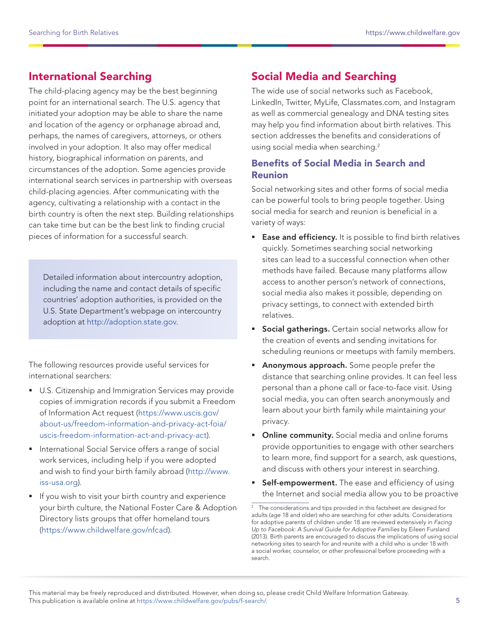## <span id="page-4-0"></span>International Searching

The child-placing agency may be the best beginning point for an international search. The U.S. agency that initiated your adoption may be able to share the name and location of the agency or orphanage abroad and, perhaps, the names of caregivers, attorneys, or others involved in your adoption. It also may offer medical history, biographical information on parents, and circumstances of the adoption. Some agencies provide international search services in partnership with overseas child-placing agencies. After communicating with the agency, cultivating a relationship with a contact in the birth country is often the next step. Building relationships can take time but can be the best link to finding crucial pieces of information for a successful search.

Detailed information about intercountry adoption, including the name and contact details of specific countries' adoption authorities, is provided on the U.S. State Department's webpage on intercountry adoption at [http://adoption.state.gov.](http://adoption.state.gov/)

The following resources provide useful services for international searchers:

- **U.S. Citizenship and Immigration Services may provide** copies of immigration records if you submit a Freedom of Information Act request [\(https://www.uscis.gov/](https://www.uscis.gov/about-us/freedom-information-and-privacy-act-foia/uscis-freedom-information-act-and-privacy-act) [about-us/freedom-information-and-privacy-act-foia/](https://www.uscis.gov/about-us/freedom-information-and-privacy-act-foia/uscis-freedom-information-act-and-privacy-act) [uscis-freedom-information-act-and-privacy-act\)](https://www.uscis.gov/about-us/freedom-information-and-privacy-act-foia/uscis-freedom-information-act-and-privacy-act).
- **International Social Service offers a range of social** work services, including help if you were adopted and wish to find your birth family abroad ([http://www.](http://www.iss-usa.org) [iss-usa.org](http://www.iss-usa.org)).
- **If you wish to visit your birth country and experience** your birth culture, the National Foster Care & Adoption Directory lists groups that offer homeland tours [\(https://www.childwelfare.gov/nfcad\)](https://www.childwelfare.gov/nfcad).

# Social Media and Searching

The wide use of social networks such as Facebook, LinkedIn, Twitter, MyLife, Classmates.com, and Instagram as well as commercial genealogy and DNA testing sites may help you find information about birth relatives. This section addresses the benefits and considerations of using social media when searching.<sup>2</sup>

#### Benefits of Social Media in Search and Reunion

Social networking sites and other forms of social media can be powerful tools to bring people together. Using social media for search and reunion is beneficial in a variety of ways:

- **Ease and efficiency.** It is possible to find birth relatives quickly. Sometimes searching social networking sites can lead to a successful connection when other methods have failed. Because many platforms allow access to another person's network of connections, social media also makes it possible, depending on privacy settings, to connect with extended birth relatives.
- **Social gatherings.** Certain social networks allow for the creation of events and sending invitations for scheduling reunions or meetups with family members.
- **Anonymous approach.** Some people prefer the distance that searching online provides. It can feel less personal than a phone call or face-to-face visit. Using social media, you can often search anonymously and learn about your birth family while maintaining your privacy.
- **Online community.** Social media and online forums provide opportunities to engage with other searchers to learn more, find support for a search, ask questions, and discuss with others your interest in searching.
- **Self-empowerment.** The ease and efficiency of using the Internet and social media allow you to be proactive

<sup>&</sup>lt;sup>2</sup> The considerations and tips provided in this factsheet are designed for adults (age 18 and older) who are searching for other adults. Considerations for adoptive parents of children under 18 are reviewed extensively in Facing Up to Facebook: A Survival Guide for Adoptive Families by Eileen Fursland (2013). Birth parents are encouraged to discuss the implications of using social networking sites to search for and reunite with a child who is under 18 with a social worker, counselor, or other professional before proceeding with a search.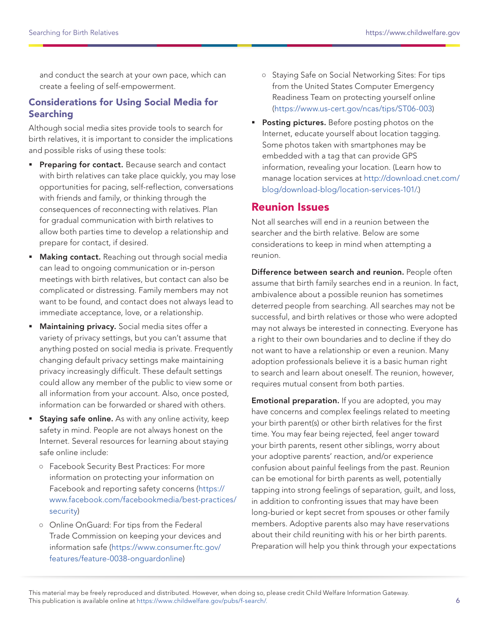<span id="page-5-0"></span>and conduct the search at your own pace, which can create a feeling of self-empowerment.

#### Considerations for Using Social Media for Searching

Although social media sites provide tools to search for birth relatives, it is important to consider the implications and possible risks of using these tools:

- **Preparing for contact.** Because search and contact with birth relatives can take place quickly, you may lose opportunities for pacing, self-reflection, conversations with friends and family, or thinking through the consequences of reconnecting with relatives. Plan for gradual communication with birth relatives to allow both parties time to develop a relationship and prepare for contact, if desired.
- **Making contact.** Reaching out through social media can lead to ongoing communication or in-person meetings with birth relatives, but contact can also be complicated or distressing. Family members may not want to be found, and contact does not always lead to immediate acceptance, love, or a relationship.
- Maintaining privacy. Social media sites offer a variety of privacy settings, but you can't assume that anything posted on social media is private. Frequently changing default privacy settings make maintaining privacy increasingly difficult. These default settings could allow any member of the public to view some or all information from your account. Also, once posted, information can be forwarded or shared with others.
- **Staying safe online.** As with any online activity, keep safety in mind. People are not always honest on the Internet. Several resources for learning about staying safe online include:
	- **○** Facebook Security Best Practices: For more information on protecting your information on Facebook and reporting safety concerns ([https://](https://www.facebook.com/facebookmedia/best-practices/security) [www.facebook.com/facebookmedia/best-practices/](https://www.facebook.com/facebookmedia/best-practices/security) [security\)](https://www.facebook.com/facebookmedia/best-practices/security)
	- **○** Online OnGuard: For tips from the Federal Trade Commission on keeping your devices and information safe ([https://www.consumer.ftc.gov/](https://www.consumer.ftc.gov/features/feature-0038-onguardonline) [features/feature-0038-onguardonline\)](https://www.consumer.ftc.gov/features/feature-0038-onguardonline)
- **○** Staying Safe on Social Networking Sites: For tips from the United States Computer Emergency Readiness Team on protecting yourself online (<https://www.us-cert.gov/ncas/tips/ST06-003>)
- Posting pictures. Before posting photos on the Internet, educate yourself about location tagging. Some photos taken with smartphones may be embedded with a tag that can provide GPS information, revealing your location. (Learn how to manage location services at [http://download.cnet.com/](http://download.cnet.com/blog/download-blog/location-services-101/) [blog/download-blog/location-services-101/.](http://download.cnet.com/blog/download-blog/location-services-101/))

### Reunion Issues

Not all searches will end in a reunion between the searcher and the birth relative. Below are some considerations to keep in mind when attempting a reunion.

Difference between search and reunion. People often assume that birth family searches end in a reunion. In fact, ambivalence about a possible reunion has sometimes deterred people from searching. All searches may not be successful, and birth relatives or those who were adopted may not always be interested in connecting. Everyone has a right to their own boundaries and to decline if they do not want to have a relationship or even a reunion. Many adoption professionals believe it is a basic human right to search and learn about oneself. The reunion, however, requires mutual consent from both parties.

Emotional preparation. If you are adopted, you may have concerns and complex feelings related to meeting your birth parent(s) or other birth relatives for the first time. You may fear being rejected, feel anger toward your birth parents, resent other siblings, worry about your adoptive parents' reaction, and/or experience confusion about painful feelings from the past. Reunion can be emotional for birth parents as well, potentially tapping into strong feelings of separation, guilt, and loss, in addition to confronting issues that may have been long-buried or kept secret from spouses or other family members. Adoptive parents also may have reservations about their child reuniting with his or her birth parents. Preparation will help you think through your expectations